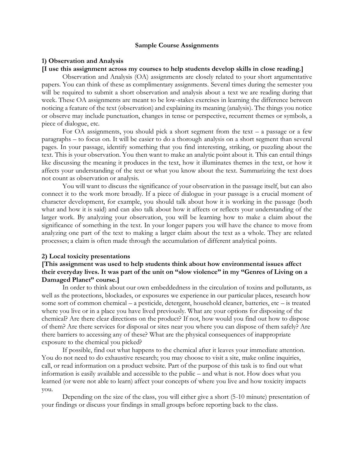#### **Sample Course Assignments**

#### **1) Observation and Analysis**

#### **[I use this assignment across my courses to help students develop skills in close reading.]**

Observation and Analysis (OA) assignments are closely related to your short argumentative papers. You can think of these as complimentary assignments. Several times during the semester you will be required to submit a short observation and analysis about a text we are reading during that week. These OA assignments are meant to be low-stakes exercises in learning the difference between noticing a feature of the text (observation) and explaining its meaning (analysis). The things you notice or observe may include punctuation, changes in tense or perspective, recurrent themes or symbols, a piece of dialogue, etc.

For OA assignments, you should pick a short segment from the text – a passage or a few paragraphs – to focus on. It will be easier to do a thorough analysis on a short segment than several pages. In your passage, identify something that you find interesting, striking, or puzzling about the text. This is your observation. You then want to make an analytic point about it. This can entail things like discussing the meaning it produces in the text, how it illuminates themes in the text, or how it affects your understanding of the text or what you know about the text. Summarizing the text does not count as observation or analysis.

You will want to discuss the significance of your observation in the passage itself, but can also connect it to the work more broadly. If a piece of dialogue in your passage is a crucial moment of character development, for example, you should talk about how it is working in the passage (both what and how it is said) and can also talk about how it affects or reflects your understanding of the larger work. By analyzing your observation, you will be learning how to make a claim about the significance of something in the text. In your longer papers you will have the chance to move from analyzing one part of the text to making a larger claim about the text as a whole. They are related processes; a claim is often made through the accumulation of different analytical points.

#### **2) Local toxicity presentations**

# **[This assignment was used to help students think about how environmental issues affect their everyday lives. It was part of the unit on "slow violence" in my "Genres of Living on a Damaged Planet" course.]**

In order to think about our own embeddedness in the circulation of toxins and pollutants, as well as the protections, blockades, or exposures we experience in our particular places, research how some sort of common chemical – a pesticide, detergent, household cleaner, batteries, etc – is treated where you live or in a place you have lived previously. What are your options for disposing of the chemical? Are there clear directions on the product? If not, how would you find out how to dispose of them? Are there services for disposal or sites near you where you can dispose of them safely? Are there barriers to accessing any of these? What are the physical consequences of inappropriate exposure to the chemical you picked?

If possible, find out what happens to the chemical after it leaves your immediate attention. You do not need to do exhaustive research; you may choose to visit a site, make online inquiries, call, or read information on a product website. Part of the purpose of this task is to find out what information is easily available and accessible to the public – and what is not. How does what you learned (or were not able to learn) affect your concepts of where you live and how toxicity impacts you.

Depending on the size of the class, you will either give a short (5-10 minute) presentation of your findings or discuss your findings in small groups before reporting back to the class.